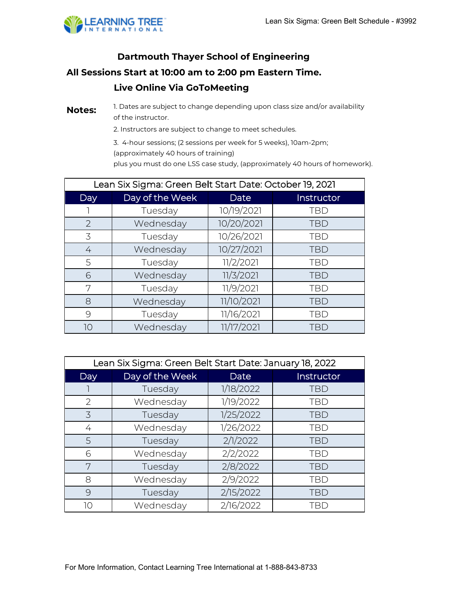

## **Live Online Via GoToMeeting Dartmouth Thayer School of Engineering All Sessions Start at 10:00 am to 2:00 pm Eastern Time.**

**Notes:** 1. Dates are subject to change depending upon class size and/or availability of the instructor.

2. Instructors are subject to change to meet schedules.

3. 4-hour sessions; (2 sessions per week for 5 weeks), 10am-2pm; (approximately 40 hours of training) plus you must do one LSS case study, (approximately 40 hours of homework).

| Lean Six Sigma: Green Belt Start Date: October 19, 2021 |                 |             |            |
|---------------------------------------------------------|-----------------|-------------|------------|
| Day                                                     | Day of the Week | <b>Date</b> | Instructor |
|                                                         | Tuesday         | 10/19/2021  | <b>TBD</b> |
| 2                                                       | Wednesday       | 10/20/2021  | <b>TBD</b> |
| 3                                                       | Tuesday         | 10/26/2021  | <b>TBD</b> |
| 4                                                       | Wednesday       | 10/27/2021  | <b>TBD</b> |
| 5                                                       | Tuesday         | 11/2/2021   | <b>TBD</b> |
| 6                                                       | Wednesday       | 11/3/2021   | <b>TBD</b> |
| 7                                                       | Tuesday         | 11/9/2021   | <b>TBD</b> |
| 8                                                       | Wednesday       | 11/10/2021  | <b>TBD</b> |
| 9                                                       | Tuesday         | 11/16/2021  | <b>TBD</b> |
| 10                                                      | Wednesday       | 11/17/2021  | TBD        |

| Lean Six Sigma: Green Belt Start Date: January 18, 2022 |                 |           |            |
|---------------------------------------------------------|-----------------|-----------|------------|
| Day                                                     | Day of the Week | Date      | Instructor |
|                                                         | Tuesday         | 1/18/2022 | <b>TBD</b> |
| 2                                                       | Wednesday       | 1/19/2022 | <b>TBD</b> |
| 3                                                       | Tuesday         | 1/25/2022 | <b>TBD</b> |
| 4                                                       | Wednesday       | 1/26/2022 | <b>TBD</b> |
| 5                                                       | Tuesday         | 2/1/2022  | <b>TBD</b> |
| 6                                                       | Wednesday       | 2/2/2022  | <b>TBD</b> |
| 7                                                       | Tuesday         | 2/8/2022  | <b>TBD</b> |
| 8                                                       | Wednesday       | 2/9/2022  | <b>TBD</b> |
| 9                                                       | Tuesday         | 2/15/2022 | <b>TBD</b> |
| 10                                                      | Wednesday       | 2/16/2022 | TBD        |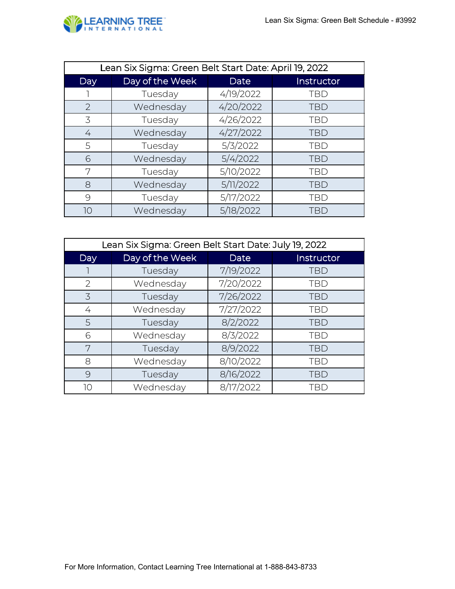

| Lean Six Sigma: Green Belt Start Date: April 19, 2022 |                 |           |            |
|-------------------------------------------------------|-----------------|-----------|------------|
| Day                                                   | Day of the Week | Date      | Instructor |
|                                                       | Tuesday         | 4/19/2022 | <b>TBD</b> |
| 2                                                     | Wednesday       | 4/20/2022 | <b>TBD</b> |
| 3                                                     | Tuesday         | 4/26/2022 | <b>TBD</b> |
| 4                                                     | Wednesday       | 4/27/2022 | <b>TBD</b> |
| 5                                                     | Tuesday         | 5/3/2022  | <b>TBD</b> |
| 6                                                     | Wednesday       | 5/4/2022  | <b>TBD</b> |
| 7                                                     | Tuesday         | 5/10/2022 | <b>TBD</b> |
| 8                                                     | Wednesday       | 5/11/2022 | <b>TBD</b> |
| 9                                                     | Tuesday         | 5/17/2022 | <b>TBD</b> |
| 10                                                    | Wednesday       | 5/18/2022 | <b>TBD</b> |

| Lean Six Sigma: Green Belt Start Date: July 19, 2022 |                 |             |            |
|------------------------------------------------------|-----------------|-------------|------------|
| <b>Day</b>                                           | Day of the Week | <b>Date</b> | Instructor |
|                                                      | Tuesday         | 7/19/2022   | <b>TBD</b> |
| 2                                                    | Wednesday       | 7/20/2022   | <b>TBD</b> |
| 3                                                    | Tuesday         | 7/26/2022   | <b>TBD</b> |
| 4                                                    | Wednesday       | 7/27/2022   | <b>TBD</b> |
| 5                                                    | Tuesday         | 8/2/2022    | <b>TBD</b> |
| 6                                                    | Wednesday       | 8/3/2022    | <b>TBD</b> |
| 7                                                    | Tuesday         | 8/9/2022    | <b>TBD</b> |
| 8                                                    | Wednesday       | 8/10/2022   | <b>TBD</b> |
| 9                                                    | Tuesday         | 8/16/2022   | <b>TBD</b> |
| 10                                                   | Wednesday       | 8/17/2022   | TBD        |